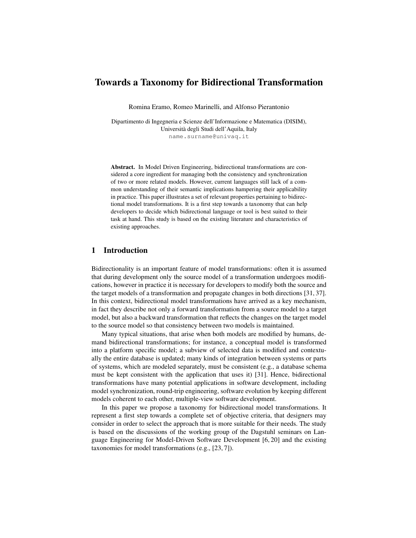# Towards a Taxonomy for Bidirectional Transformation

Romina Eramo, Romeo Marinelli, and Alfonso Pierantonio

Dipartimento di Ingegneria e Scienze dell'Informazione e Matematica (DISIM), Universita degli Studi dell'Aquila, Italy ` name.surname@univaq.it

Abstract. In Model Driven Engineering, bidirectional transformations are considered a core ingredient for managing both the consistency and synchronization of two or more related models. However, current languages still lack of a common understanding of their semantic implications hampering their applicability in practice. This paper illustrates a set of relevant properties pertaining to bidirectional model transformations. It is a first step towards a taxonomy that can help developers to decide which bidirectional language or tool is best suited to their task at hand. This study is based on the existing literature and characteristics of existing approaches.

# 1 Introduction

Bidirectionality is an important feature of model transformations: often it is assumed that during development only the source model of a transformation undergoes modifications, however in practice it is necessary for developers to modify both the source and the target models of a transformation and propagate changes in both directions [31, 37]. In this context, bidirectional model transformations have arrived as a key mechanism, in fact they describe not only a forward transformation from a source model to a target model, but also a backward transformation that reflects the changes on the target model to the source model so that consistency between two models is maintained.

Many typical situations, that arise when both models are modified by humans, demand bidirectional transformations; for instance, a conceptual model is transformed into a platform specific model; a subview of selected data is modified and contextually the entire database is updated; many kinds of integration between systems or parts of systems, which are modeled separately, must be consistent (e.g., a database schema must be kept consistent with the application that uses it) [31]. Hence, bidirectional transformations have many potential applications in software development, including model synchronization, round-trip engineering, software evolution by keeping different models coherent to each other, multiple-view software development.

In this paper we propose a taxonomy for bidirectional model transformations. It represent a first step towards a complete set of objective criteria, that designers may consider in order to select the approach that is more suitable for their needs. The study is based on the discussions of the working group of the Dagstuhl seminars on Language Engineering for Model-Driven Software Development [6, 20] and the existing taxonomies for model transformations (e.g., [23, 7]).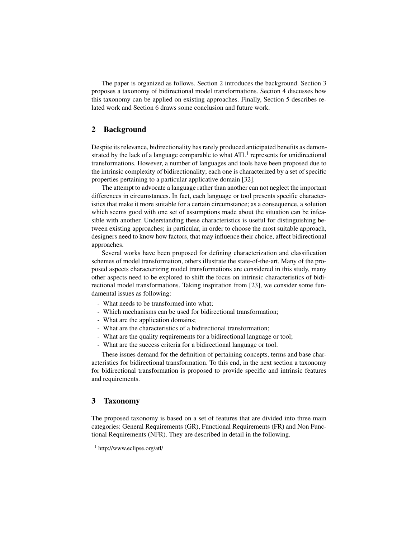The paper is organized as follows. Section 2 introduces the background. Section 3 proposes a taxonomy of bidirectional model transformations. Section 4 discusses how this taxonomy can be applied on existing approaches. Finally, Section 5 describes related work and Section 6 draws some conclusion and future work.

## 2 Background

Despite its relevance, bidirectionality has rarely produced anticipated benefits as demonstrated by the lack of a language comparable to what  $ATL<sup>1</sup>$  represents for unidirectional transformations. However, a number of languages and tools have been proposed due to the intrinsic complexity of bidirectionality; each one is characterized by a set of specific properties pertaining to a particular applicative domain [32].

The attempt to advocate a language rather than another can not neglect the important differences in circumstances. In fact, each language or tool presents specific characteristics that make it more suitable for a certain circumstance; as a consequence, a solution which seems good with one set of assumptions made about the situation can be infeasible with another. Understanding these characteristics is useful for distinguishing between existing approaches; in particular, in order to choose the most suitable approach, designers need to know how factors, that may influence their choice, affect bidirectional approaches.

Several works have been proposed for defining characterization and classification schemes of model transformation, others illustrate the state-of-the-art. Many of the proposed aspects characterizing model transformations are considered in this study, many other aspects need to be explored to shift the focus on intrinsic characteristics of bidirectional model transformations. Taking inspiration from [23], we consider some fundamental issues as following:

- What needs to be transformed into what;
- Which mechanisms can be used for bidirectional transformation;
- What are the application domains;
- What are the characteristics of a bidirectional transformation;
- What are the quality requirements for a bidirectional language or tool;
- What are the success criteria for a bidirectional language or tool.

These issues demand for the definition of pertaining concepts, terms and base characteristics for bidirectional transformation. To this end, in the next section a taxonomy for bidirectional transformation is proposed to provide specific and intrinsic features and requirements.

### 3 Taxonomy

The proposed taxonomy is based on a set of features that are divided into three main categories: General Requirements (GR), Functional Requirements (FR) and Non Functional Requirements (NFR). They are described in detail in the following.

<sup>1</sup> http://www.eclipse.org/atl/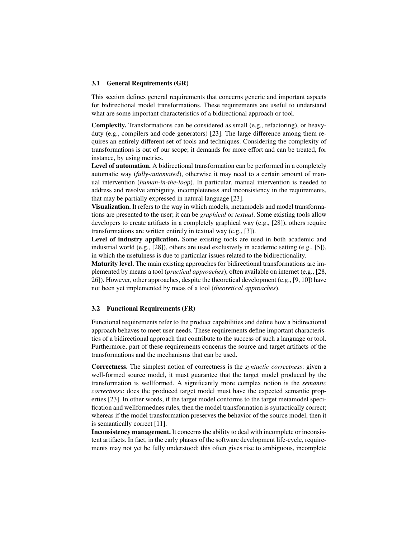#### 3.1 General Requirements (GR)

This section defines general requirements that concerns generic and important aspects for bidirectional model transformations. These requirements are useful to understand what are some important characteristics of a bidirectional approach or tool.

Complexity. Transformations can be considered as small (e.g., refactoring), or heavyduty (e.g., compilers and code generators) [23]. The large difference among them requires an entirely different set of tools and techniques. Considering the complexity of transformations is out of our scope; it demands for more effort and can be treated, for instance, by using metrics.

Level of automation. A bidirectional transformation can be performed in a completely automatic way (*fully-automated*), otherwise it may need to a certain amount of manual intervention (*human-in-the-loop*). In particular, manual intervention is needed to address and resolve ambiguity, incompleteness and inconsistency in the requirements, that may be partially expressed in natural language [23].

Visualization. It refers to the way in which models, metamodels and model transformations are presented to the user; it can be *graphical* or *textual*. Some existing tools allow developers to create artifacts in a completely graphical way (e.g., [28]), others require transformations are written entirely in textual way (e.g., [3]).

Level of industry application. Some existing tools are used in both academic and industrial world (e.g., [28]), others are used exclusively in academic setting (e.g., [5]), in which the usefulness is due to particular issues related to the bidirectionality.

Maturity level. The main existing approaches for bidirectional transformations are implemented by means a tool (*practical approaches*), often available on internet (e.g., [28, 26]). However, other approaches, despite the theoretical development (e.g., [9, 10]) have not been yet implemented by meas of a tool (*theoretical approaches*).

#### 3.2 Functional Requirements (FR)

Functional requirements refer to the product capabilities and define how a bidirectional approach behaves to meet user needs. These requirements define important characteristics of a bidirectional approach that contribute to the success of such a language or tool. Furthermore, part of these requirements concerns the source and target artifacts of the transformations and the mechanisms that can be used.

Correctness. The simplest notion of correctness is the *syntactic correctness*: given a well-formed source model, it must guarantee that the target model produced by the transformation is wellformed. A significantly more complex notion is the *semantic correctness*: does the produced target model must have the expected semantic properties [23]. In other words, if the target model conforms to the target metamodel specification and wellformednes rules, then the model transformation is syntactically correct; whereas if the model transformation preserves the behavior of the source model, then it is semantically correct [11].

Inconsistency management. It concerns the ability to deal with incomplete or inconsistent artifacts. In fact, in the early phases of the software development life-cycle, requirements may not yet be fully understood; this often gives rise to ambiguous, incomplete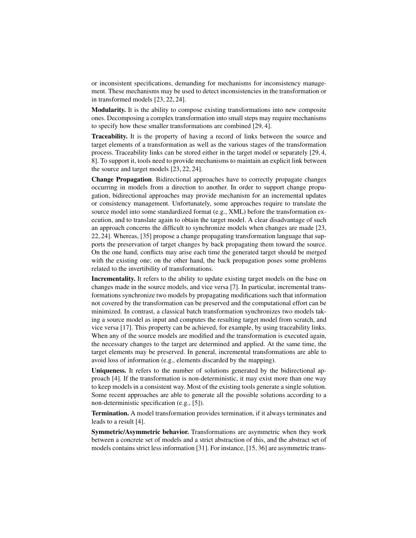or inconsistent specifications, demanding for mechanisms for inconsistency management. These mechanisms may be used to detect inconsistencies in the transformation or in transformed models [23, 22, 24].

Modularity. It is the ability to compose existing transformations into new composite ones. Decomposing a complex transformation into small steps may require mechanisms to specify how these smaller transformations are combined [29, 4].

Traceability. It is the property of having a record of links between the source and target elements of a transformation as well as the various stages of the transformation process. Traceability links can be stored either in the target model or separately [29, 4, 8]. To support it, tools need to provide mechanisms to maintain an explicit link between the source and target models [23, 22, 24].

Change Propagation. Bidirectional approaches have to correctly propagate changes occurring in models from a direction to another. In order to support change propagation, bidirectional approaches may provide mechanism for an incremental updates or consistency management. Unfortunately, some approaches require to translate the source model into some standardized format (e.g., XML) before the transformation execution, and to translate again to obtain the target model. A clear disadvantage of such an approach concerns the difficult to synchronize models when changes are made [23, 22, 24]. Whereas, [35] propose a change propagating transformation language that supports the preservation of target changes by back propagating them toward the source. On the one hand, conflicts may arise each time the generated target should be merged with the existing one; on the other hand, the back propagation poses some problems related to the invertibility of transformations.

Incrementality. It refers to the ability to update existing target models on the base on changes made in the source models, and vice versa [7]. In particular, incremental transformations synchronize two models by propagating modifications such that information not covered by the transformation can be preserved and the computational effort can be minimized. In contrast, a classical batch transformation synchronizes two models taking a source model as input and computes the resulting target model from scratch, and vice versa [17]. This property can be achieved, for example, by using traceability links. When any of the source models are modified and the transformation is executed again, the necessary changes to the target are determined and applied. At the same time, the target elements may be preserved. In general, incremental transformations are able to avoid loss of information (e.g., elements discarded by the mapping).

Uniqueness. It refers to the number of solutions generated by the bidirectional approach [4]. If the transformation is non-deterministic, it may exist more than one way to keep models in a consistent way. Most of the existing tools generate a single solution. Some recent approaches are able to generate all the possible solutions according to a non-deterministic specification (e.g., [5]).

Termination. A model transformation provides termination, if it always terminates and leads to a result [4].

Symmetric/Asymmetric behavior. Transformations are asymmetric when they work between a concrete set of models and a strict abstraction of this, and the abstract set of models contains strict less information [31]. For instance, [15, 36] are asymmetric trans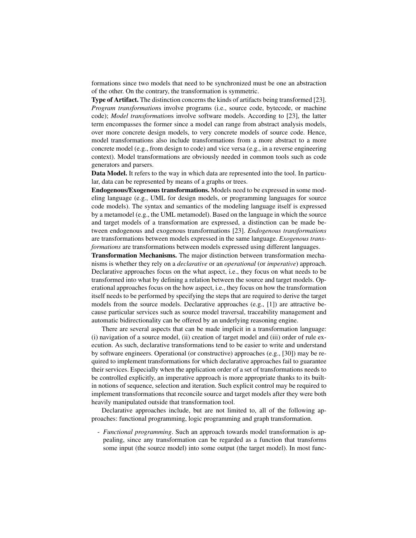formations since two models that need to be synchronized must be one an abstraction of the other. On the contrary, the transformation is symmetric.

Type of Artifact. The distinction concerns the kinds of artifacts being transformed [23]. *Program transformation*s involve programs (i.e., source code, bytecode, or machine code); *Model transformation*s involve software models. According to [23], the latter term encompasses the former since a model can range from abstract analysis models, over more concrete design models, to very concrete models of source code. Hence, model transformations also include transformations from a more abstract to a more concrete model (e.g., from design to code) and vice versa (e.g., in a reverse engineering context). Model transformations are obviously needed in common tools such as code generators and parsers.

Data Model. It refers to the way in which data are represented into the tool. In particular, data can be represented by means of a graphs or trees.

Endogenous/Exogenous transformations. Models need to be expressed in some modeling language (e.g., UML for design models, or programming languages for source code models). The syntax and semantics of the modeling language itself is expressed by a metamodel (e.g., the UML metamodel). Based on the language in which the source and target models of a transformation are expressed, a distinction can be made between endogenous and exogenous transformations [23]. *Endogenous transformations* are transformations between models expressed in the same language. *Exogenous transformations* are transformations between models expressed using different languages.

Transformation Mechanisms. The major distinction between transformation mechanisms is whether they rely on a *declarative* or an *operational* (or *imperative*) approach. Declarative approaches focus on the what aspect, i.e., they focus on what needs to be transformed into what by defining a relation between the source and target models. Operational approaches focus on the how aspect, i.e., they focus on how the transformation itself needs to be performed by specifying the steps that are required to derive the target models from the source models. Declarative approaches (e.g., [1]) are attractive because particular services such as source model traversal, traceability management and automatic bidirectionality can be offered by an underlying reasoning engine.

There are several aspects that can be made implicit in a transformation language: (i) navigation of a source model, (ii) creation of target model and (iii) order of rule execution. As such, declarative transformations tend to be easier to write and understand by software engineers. Operational (or constructive) approaches (e.g., [30]) may be required to implement transformations for which declarative approaches fail to guarantee their services. Especially when the application order of a set of transformations needs to be controlled explicitly, an imperative approach is more appropriate thanks to its builtin notions of sequence, selection and iteration. Such explicit control may be required to implement transformations that reconcile source and target models after they were both heavily manipulated outside that transformation tool.

Declarative approaches include, but are not limited to, all of the following approaches: functional programming, logic programming and graph transformation.

- *Functional programming*. Such an approach towards model transformation is appealing, since any transformation can be regarded as a function that transforms some input (the source model) into some output (the target model). In most func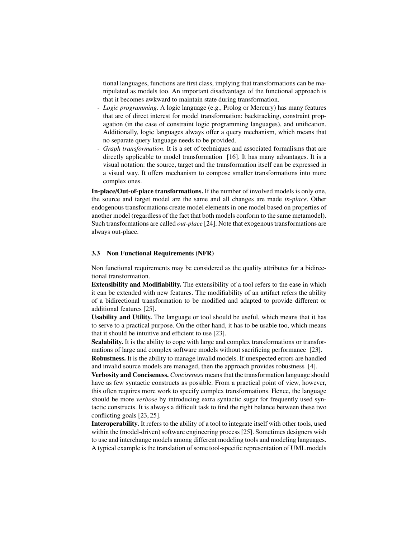tional languages, functions are first class, implying that transformations can be manipulated as models too. An important disadvantage of the functional approach is that it becomes awkward to maintain state during transformation.

- *Logic programming*. A logic language (e.g., Prolog or Mercury) has many features that are of direct interest for model transformation: backtracking, constraint propagation (in the case of constraint logic programming languages), and unification. Additionally, logic languages always offer a query mechanism, which means that no separate query language needs to be provided.
- *Graph transformation*. It is a set of techniques and associated formalisms that are directly applicable to model transformation [16]. It has many advantages. It is a visual notation: the source, target and the transformation itself can be expressed in a visual way. It offers mechanism to compose smaller transformations into more complex ones.

In-place/Out-of-place transformations. If the number of involved models is only one, the source and target model are the same and all changes are made *in-place*. Other endogenous transformations create model elements in one model based on properties of another model (regardless of the fact that both models conform to the same metamodel). Such transformations are called *out-place* [24]. Note that exogenous transformations are always out-place.

#### 3.3 Non Functional Requirements (NFR)

Non functional requirements may be considered as the quality attributes for a bidirectional transformation.

Extensibility and Modifiability. The extensibility of a tool refers to the ease in which it can be extended with new features. The modifiability of an artifact refers the ability of a bidirectional transformation to be modified and adapted to provide different or additional features [25].

Usability and Utility. The language or tool should be useful, which means that it has to serve to a practical purpose. On the other hand, it has to be usable too, which means that it should be intuitive and efficient to use [23].

Scalability. It is the ability to cope with large and complex transformations or transformations of large and complex software models without sacrificing performance [23].

Robustness. It is the ability to manage invalid models. If unexpected errors are handled and invalid source models are managed, then the approach provides robustness [4].

Verbosity and Conciseness. *Conciseness* means that the transformation language should have as few syntactic constructs as possible. From a practical point of view, however, this often requires more work to specify complex transformations. Hence, the language should be more *verbose* by introducing extra syntactic sugar for frequently used syntactic constructs. It is always a difficult task to find the right balance between these two conflicting goals [23, 25].

Interoperability. It refers to the ability of a tool to integrate itself with other tools, used within the (model-driven) software engineering process [25]. Sometimes designers wish to use and interchange models among different modeling tools and modeling languages. A typical example is the translation of some tool-specific representation of UML models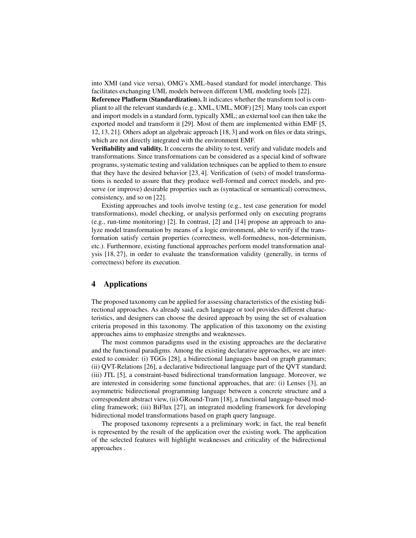into XMI (and vice versa), OMG's XML-based standard for model interchange. This facilitates exchanging UML models between different UML modeling tools [22].

Reference Platform (Standardization). It indicates whether the transform tool is compliant to all the relevant standards (e.g., XML, UML, MOF) [25]. Many tools can export and import models in a standard form, typically XML; an external tool can then take the exported model and transform it [29]. Most of them are implemented within EMF [5, 12, 13, 21]. Others adopt an algebraic approach [18, 3] and work on files or data strings, which are not directly integrated with the environment EMF.

Verifiability and validity. It concerns the ability to test, verify and validate models and transformations. Since transformations can be considered as a special kind of software programs, systematic testing and validation techniques can be applied to them to ensure that they have the desired behavior [23, 4]. Verification of (sets) of model transformations is needed to assure that they produce well-formed and correct models, and preserve (or improve) desirable properties such as (syntactical or semantical) correctness, consistency, and so on [22].

Existing approaches and tools involve testing (e.g., test case generation for model transformations), model checking, or analysis performed only on executing programs (e.g., run-time monitoring) [2]. In contrast, [2] and [14] propose an approach to analyze model transformation by means of a logic environment, able to verify if the transformation satisfy certain properties (correctness, well-formedness, non-determinism, etc.). Furthermore, existing functional approaches perform model transformation analysis [18, 27], in order to evaluate the transformation validity (generally, in terms of correctness) before its execution.

### 4 Applications

The proposed taxonomy can be applied for assessing characteristics of the existing bidirectional approaches. As already said, each language or tool provides different characteristics, and designers can choose the desired approach by using the set of evaluation criteria proposed in this taxonomy. The application of this taxonomy on the existing approaches aims to emphasize strengths and weaknesses.

The most common paradigms used in the existing approaches are the declarative and the functional paradigms. Among the existing declarative approaches, we are interested to consider: (i) TGGs [28], a bidirectional languages based on graph grammars; (ii) QVT-Relations [26], a declarative bidirectional language part of the QVT standard; (iii) JTL [5], a constraint-based bidirectional transformation language. Moreover, we are interested in considering some functional approaches, that are: (i) Lenses [3], an asymmetric bidirectional programming language between a concrete structure and a correspondent abstract view, (ii) GRound-Tram [18], a functional language-based modeling framework; (iii) BiFlux [27], an integrated modeling framework for developing bidirectional model transformations based on graph query language.

The proposed taxonomy represents a a preliminary work; in fact, the real benefit is represented by the result of the application over the existing work. The application of the selected features will highlight weaknesses and criticality of the bidirectional approaches .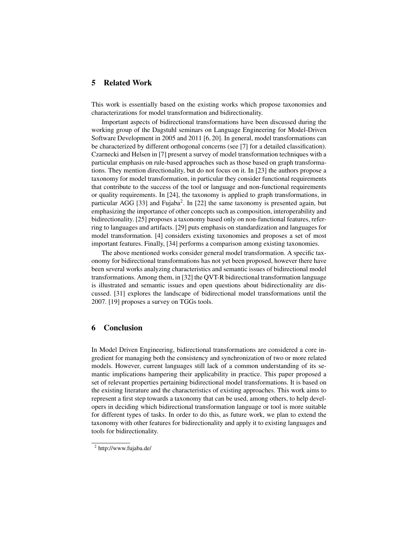# 5 Related Work

This work is essentially based on the existing works which propose taxonomies and characterizations for model transformation and bidirectionality.

Important aspects of bidirectional transformations have been discussed during the working group of the Dagstuhl seminars on Language Engineering for Model-Driven Software Development in 2005 and 2011 [6, 20]. In general, model transformations can be characterized by different orthogonal concerns (see [7] for a detailed classification). Czarnecki and Helsen in [7] present a survey of model transformation techniques with a particular emphasis on rule-based approaches such as those based on graph transformations. They mention directionality, but do not focus on it. In [23] the authors propose a taxonomy for model transformation, in particular they consider functional requirements that contribute to the success of the tool or language and non-functional requirements or quality requirements. In [24], the taxonomy is applied to graph transformations, in particular AGG [33] and Fujaba<sup>2</sup>. In [22] the same taxonomy is presented again, but emphasizing the importance of other concepts such as composition, interoperability and bidirectionality. [25] proposes a taxonomy based only on non-functional features, referring to languages and artifacts. [29] puts emphasis on standardization and languages for model transformation. [4] considers existing taxonomies and proposes a set of most important features. Finally, [34] performs a comparison among existing taxonomies.

The above mentioned works consider general model transformation. A specific taxonomy for bidirectional transformations has not yet been proposed, however there have been several works analyzing characteristics and semantic issues of bidirectional model transformations. Among them, in [32] the QVT-R bidirectional transformation language is illustrated and semantic issues and open questions about bidirectionality are discussed. [31] explores the landscape of bidirectional model transformations until the 2007. [19] proposes a survey on TGGs tools.

### 6 Conclusion

In Model Driven Engineering, bidirectional transformations are considered a core ingredient for managing both the consistency and synchronization of two or more related models. However, current languages still lack of a common understanding of its semantic implications hampering their applicability in practice. This paper proposed a set of relevant properties pertaining bidirectional model transformations. It is based on the existing literature and the characteristics of existing approaches. This work aims to represent a first step towards a taxonomy that can be used, among others, to help developers in deciding which bidirectional transformation language or tool is more suitable for different types of tasks. In order to do this, as future work, we plan to extend the taxonomy with other features for bidirectionality and apply it to existing languages and tools for bidirectionality.

<sup>&</sup>lt;sup>2</sup> http://www.fujaba.de/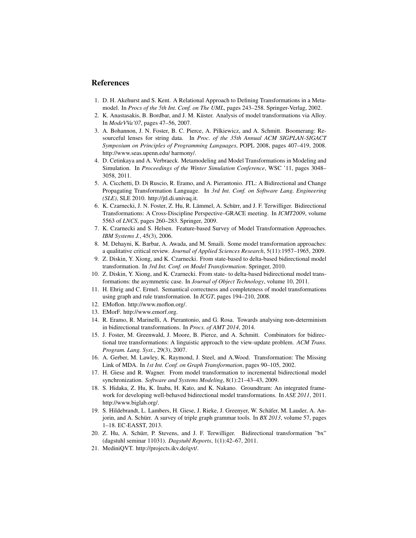### References

- 1. D. H. Akehurst and S. Kent. A Relational Approach to Defining Transformations in a Metamodel. In *Procs of the 5th Int. Conf. on The UML*, pages 243–258. Springer-Verlag, 2002.
- 2. K. Anastasakis, B. Bordbar, and J. M. Küster. Analysis of model transformations via Alloy. In *ModeVVa'07*, pages 47–56, 2007.
- 3. A. Bohannon, J. N. Foster, B. C. Pierce, A. Pilkiewicz, and A. Schmitt. Boomerang: Resourceful lenses for string data. In *Proc. of the 35th Annual ACM SIGPLAN-SIGACT Symposium on Principles of Programming Languages*, POPL 2008, pages 407–419, 2008. http://www.seas.upenn.edu/ harmony/.
- 4. D. Cetinkaya and A. Verbraeck. Metamodeling and Model Transformations in Modeling and Simulation. In *Proceedings of the Winter Simulation Conference*, WSC '11, pages 3048– 3058, 2011.
- 5. A. Cicchetti, D. Di Ruscio, R. Eramo, and A. Pierantonio. JTL: A Bidirectional and Change Propagating Transformation Language. In *3rd Int. Conf. on Software Lang. Engineering (SLE)*, SLE 2010. http://jtl.di.univaq.it.
- 6. K. Czarnecki, J. N. Foster, Z. Hu, R. Lämmel, A. Schürr, and J. F. Terwilliger. Bidirectional Transformations: A Cross-Discipline Perspective–GRACE meeting. In *ICMT2009*, volume 5563 of *LNCS*, pages 260–283. Springer, 2009.
- 7. K. Czarnecki and S. Helsen. Feature-based Survey of Model Transformation Approaches. *IBM Systems J.*, 45(3), 2006.
- 8. M. Dehayni, K. Barbar, A. Awada, and M. Smaili. Some model transformation approaches: a qualitative critical review. *Journal of Applied Sciences Research*, 5(11):1957–1965, 2009.
- 9. Z. Diskin, Y. Xiong, and K. Czarnecki. From state-based to delta-based bidirectional model transformation. In *3rd Int. Conf. on Model Transformation*. Springer, 2010.
- 10. Z. Diskin, Y. Xiong, and K. Czarnecki. From state- to delta-based bidirectional model transformations: the asymmetric case. In *Journal of Object Technology*, volume 10, 2011.
- 11. H. Ehrig and C. Ermel. Semantical correctness and completeness of model transformations using graph and rule transformation. In *ICGT*, pages 194–210, 2008.
- 12. EMoflon. http://www.moflon.org/.
- 13. EMorF. http://www.emorf.org.
- 14. R. Eramo, R. Marinelli, A. Pierantonio, and G. Rosa. Towards analysing non-determinism in bidirectional transformations. In *Procs. of AMT 2014*, 2014.
- 15. J. Foster, M. Greenwald, J. Moore, B. Pierce, and A. Schmitt. Combinators for bidirectional tree transformations: A linguistic approach to the view-update problem. *ACM Trans. Program. Lang. Syst.*, 29(3), 2007.
- 16. A. Gerber, M. Lawley, K. Raymond, J. Steel, and A.Wood. Transformation: The Missing Link of MDA. In *1st Int. Conf. on Graph Transformation*, pages 90–105, 2002.
- 17. H. Giese and R. Wagner. From model transformation to incremental bidirectional model synchronization. *Software and Systems Modeling*, 8(1):21–43–43, 2009.
- 18. S. Hidaka, Z. Hu, K. Inaba, H. Kato, and K. Nakano. Groundtram: An integrated framework for developing well-behaved bidirectional model transformations. In *ASE 2011*, 2011. http://www.biglab.org/.
- 19. S. Hildebrandt, L. Lambers, H. Giese, J. Rieke, J. Greenyer, W. Schafer, M. Lauder, A. An- ¨ jorin, and A. Schürr. A survey of triple graph grammar tools. In *BX 2013*, volume 57, pages 1–18. EC-EASST, 2013.
- 20. Z. Hu, A. Schurr, P. Stevens, and J. F. Terwilliger. Bidirectional transformation "bx" ¨ (dagstuhl seminar 11031). *Dagstuhl Reports*, 1(1):42–67, 2011.
- 21. MediniQVT. http://projects.ikv.de/qvt/.